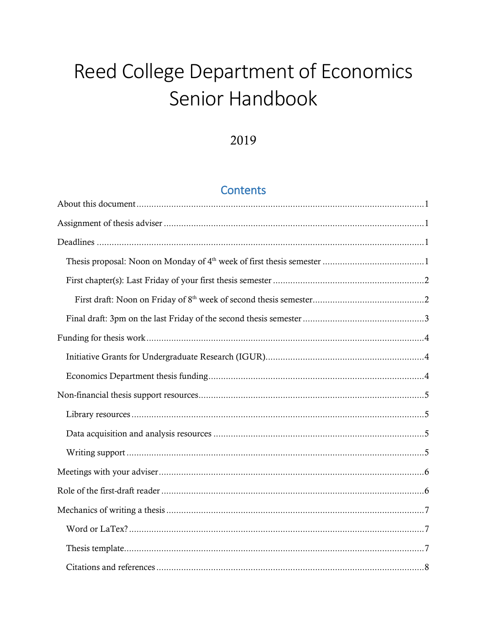# Reed College Department of Economics Senior Handbook

# 2019

# **Contents**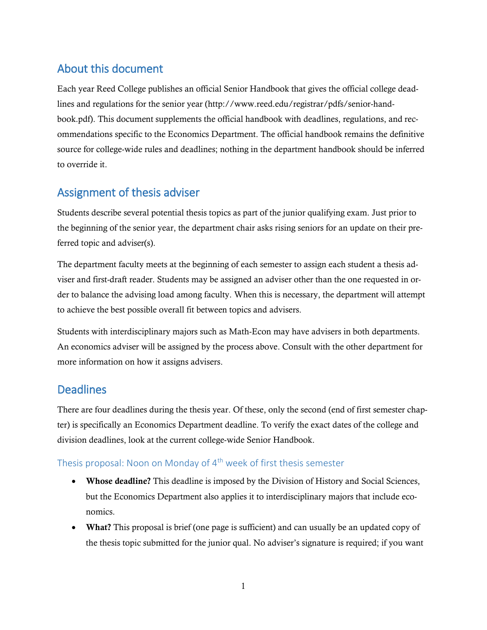# <span id="page-2-0"></span>About this document

Each year Reed College publishes an official Senior Handbook that gives the official college deadlines and regulations for the senior year (http://www.reed.edu/registrar/pdfs/senior-handbook.pdf). This document supplements the official handbook with deadlines, regulations, and recommendations specific to the Economics Department. The official handbook remains the definitive source for college-wide rules and deadlines; nothing in the department handbook should be inferred to override it.

# <span id="page-2-1"></span>Assignment of thesis adviser

Students describe several potential thesis topics as part of the junior qualifying exam. Just prior to the beginning of the senior year, the department chair asks rising seniors for an update on their preferred topic and adviser(s).

The department faculty meets at the beginning of each semester to assign each student a thesis adviser and first-draft reader. Students may be assigned an adviser other than the one requested in order to balance the advising load among faculty. When this is necessary, the department will attempt to achieve the best possible overall fit between topics and advisers.

Students with interdisciplinary majors such as Math-Econ may have advisers in both departments. An economics adviser will be assigned by the process above. Consult with the other department for more information on how it assigns advisers.

# <span id="page-2-2"></span>**Deadlines**

There are four deadlines during the thesis year. Of these, only the second (end of first semester chapter) is specifically an Economics Department deadline. To verify the exact dates of the college and division deadlines, look at the current college-wide Senior Handbook.

### <span id="page-2-3"></span>Thesis proposal: Noon on Monday of 4<sup>th</sup> week of first thesis semester

- **Whose deadline?** This deadline is imposed by the Division of History and Social Sciences, but the Economics Department also applies it to interdisciplinary majors that include economics.
- **What?** This proposal is brief (one page is sufficient) and can usually be an updated copy of the thesis topic submitted for the junior qual. No adviser's signature is required; if you want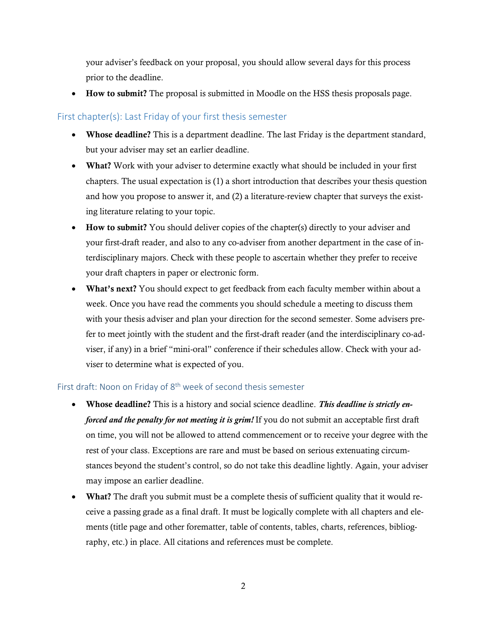your adviser's feedback on your proposal, you should allow several days for this process prior to the deadline.

**How to submit?** The proposal is submitted in Moodle on the HSS thesis proposals page.

### <span id="page-3-0"></span>First chapter(s): Last Friday of your first thesis semester

- **Whose deadline?** This is a department deadline. The last Friday is the department standard, but your adviser may set an earlier deadline.
- **What?** Work with your adviser to determine exactly what should be included in your first chapters. The usual expectation is (1) a short introduction that describes your thesis question and how you propose to answer it, and (2) a literature-review chapter that surveys the existing literature relating to your topic.
- **How to submit?** You should deliver copies of the chapter(s) directly to your adviser and your first-draft reader, and also to any co-adviser from another department in the case of interdisciplinary majors. Check with these people to ascertain whether they prefer to receive your draft chapters in paper or electronic form.
- **What's next?** You should expect to get feedback from each faculty member within about a week. Once you have read the comments you should schedule a meeting to discuss them with your thesis adviser and plan your direction for the second semester. Some advisers prefer to meet jointly with the student and the first-draft reader (and the interdisciplinary co-adviser, if any) in a brief "mini-oral" conference if their schedules allow. Check with your adviser to determine what is expected of you.

#### <span id="page-3-1"></span>First draft: Noon on Friday of  $8<sup>th</sup>$  week of second thesis semester

- **Whose deadline?** This is a history and social science deadline. *This deadline is strictly enforced and the penalty for not meeting it is grim!* If you do not submit an acceptable first draft on time, you will not be allowed to attend commencement or to receive your degree with the rest of your class. Exceptions are rare and must be based on serious extenuating circumstances beyond the student's control, so do not take this deadline lightly. Again, your adviser may impose an earlier deadline.
- **What?** The draft you submit must be a complete thesis of sufficient quality that it would receive a passing grade as a final draft. It must be logically complete with all chapters and elements (title page and other forematter, table of contents, tables, charts, references, bibliography, etc.) in place. All citations and references must be complete.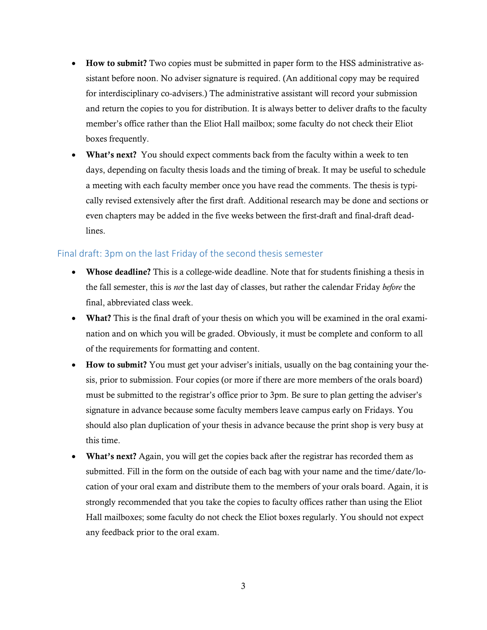- **How to submit?** Two copies must be submitted in paper form to the HSS administrative assistant before noon. No adviser signature is required. (An additional copy may be required for interdisciplinary co-advisers.) The administrative assistant will record your submission and return the copies to you for distribution. It is always better to deliver drafts to the faculty member's office rather than the Eliot Hall mailbox; some faculty do not check their Eliot boxes frequently.
- **What's next?** You should expect comments back from the faculty within a week to ten days, depending on faculty thesis loads and the timing of break. It may be useful to schedule a meeting with each faculty member once you have read the comments. The thesis is typically revised extensively after the first draft. Additional research may be done and sections or even chapters may be added in the five weeks between the first-draft and final-draft deadlines.

#### <span id="page-4-0"></span>Final draft: 3pm on the last Friday of the second thesis semester

- **Whose deadline?** This is a college-wide deadline. Note that for students finishing a thesis in the fall semester, this is *not* the last day of classes, but rather the calendar Friday *before* the final, abbreviated class week.
- What? This is the final draft of your thesis on which you will be examined in the oral examination and on which you will be graded. Obviously, it must be complete and conform to all of the requirements for formatting and content.
- **How to submit?** You must get your adviser's initials, usually on the bag containing your thesis, prior to submission. Four copies (or more if there are more members of the orals board) must be submitted to the registrar's office prior to 3pm. Be sure to plan getting the adviser's signature in advance because some faculty members leave campus early on Fridays. You should also plan duplication of your thesis in advance because the print shop is very busy at this time.
- **What's next?** Again, you will get the copies back after the registrar has recorded them as submitted. Fill in the form on the outside of each bag with your name and the time/date/location of your oral exam and distribute them to the members of your orals board. Again, it is strongly recommended that you take the copies to faculty offices rather than using the Eliot Hall mailboxes; some faculty do not check the Eliot boxes regularly. You should not expect any feedback prior to the oral exam.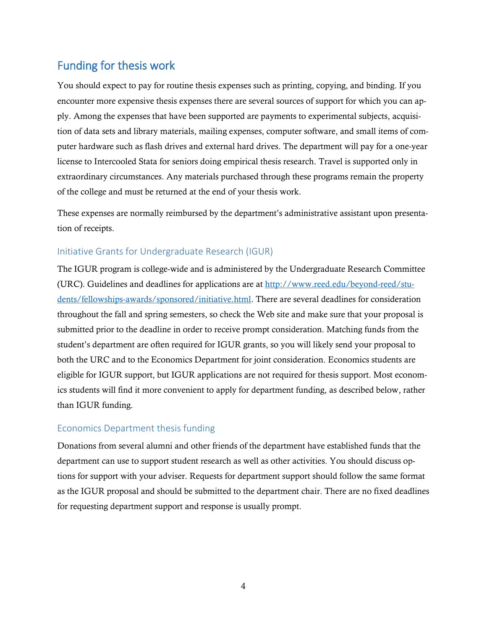# <span id="page-5-0"></span>Funding for thesis work

You should expect to pay for routine thesis expenses such as printing, copying, and binding. If you encounter more expensive thesis expenses there are several sources of support for which you can apply. Among the expenses that have been supported are payments to experimental subjects, acquisition of data sets and library materials, mailing expenses, computer software, and small items of computer hardware such as flash drives and external hard drives. The department will pay for a one-year license to Intercooled Stata for seniors doing empirical thesis research. Travel is supported only in extraordinary circumstances. Any materials purchased through these programs remain the property of the college and must be returned at the end of your thesis work.

These expenses are normally reimbursed by the department's administrative assistant upon presentation of receipts.

### <span id="page-5-1"></span>Initiative Grants for Undergraduate Research (IGUR)

The IGUR program is college-wide and is administered by the Undergraduate Research Committee (URC). Guidelines and deadlines for applications are at [http://www.reed.edu/beyond-reed/stu](http://www.reed.edu/beyond-reed/students/fellowships-awards/sponsored/initiative.html)[dents/fellowships-awards/sponsored/initiative.html.](http://www.reed.edu/beyond-reed/students/fellowships-awards/sponsored/initiative.html) There are several deadlines for consideration throughout the fall and spring semesters, so check the Web site and make sure that your proposal is submitted prior to the deadline in order to receive prompt consideration. Matching funds from the student's department are often required for IGUR grants, so you will likely send your proposal to both the URC and to the Economics Department for joint consideration. Economics students are eligible for IGUR support, but IGUR applications are not required for thesis support. Most economics students will find it more convenient to apply for department funding, as described below, rather than IGUR funding.

### <span id="page-5-2"></span>Economics Department thesis funding

Donations from several alumni and other friends of the department have established funds that the department can use to support student research as well as other activities. You should discuss options for support with your adviser. Requests for department support should follow the same format as the IGUR proposal and should be submitted to the department chair. There are no fixed deadlines for requesting department support and response is usually prompt.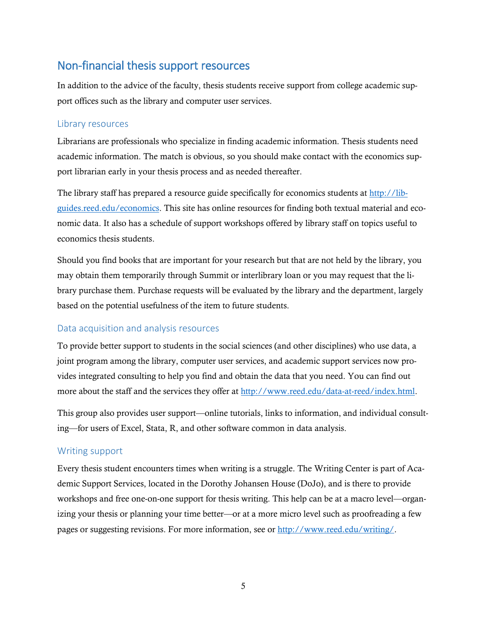# <span id="page-6-0"></span>Non-financial thesis support resources

In addition to the advice of the faculty, thesis students receive support from college academic support offices such as the library and computer user services.

#### <span id="page-6-1"></span>Library resources

Librarians are professionals who specialize in finding academic information. Thesis students need academic information. The match is obvious, so you should make contact with the economics support librarian early in your thesis process and as needed thereafter.

The library staff has prepared a resource guide specifically for economics students at [http://lib](http://libguides.reed.edu/economics)[guides.reed.edu/economics.](http://libguides.reed.edu/economics) This site has online resources for finding both textual material and economic data. It also has a schedule of support workshops offered by library staff on topics useful to economics thesis students.

Should you find books that are important for your research but that are not held by the library, you may obtain them temporarily through Summit or interlibrary loan or you may request that the library purchase them. Purchase requests will be evaluated by the library and the department, largely based on the potential usefulness of the item to future students.

#### <span id="page-6-2"></span>Data acquisition and analysis resources

To provide better support to students in the social sciences (and other disciplines) who use data, a joint program among the library, computer user services, and academic support services now provides integrated consulting to help you find and obtain the data that you need. You can find out more about the staff and the services they offer a[t http://www.reed.edu/data-at-reed/index.html.](http://www.reed.edu/data-at-reed/index.html)

This group also provides user support—online tutorials, links to information, and individual consulting—for users of Excel, Stata, R, and other software common in data analysis.

#### <span id="page-6-3"></span>Writing support

Every thesis student encounters times when writing is a struggle. The Writing Center is part of Academic Support Services, located in the Dorothy Johansen House (DoJo), and is there to provide workshops and free one-on-one support for thesis writing. This help can be at a macro level—organizing your thesis or planning your time better—or at a more micro level such as proofreading a few pages or suggesting revisions. For more information, see or [http://www.reed.edu/writing/.](http://www.reed.edu/writing/)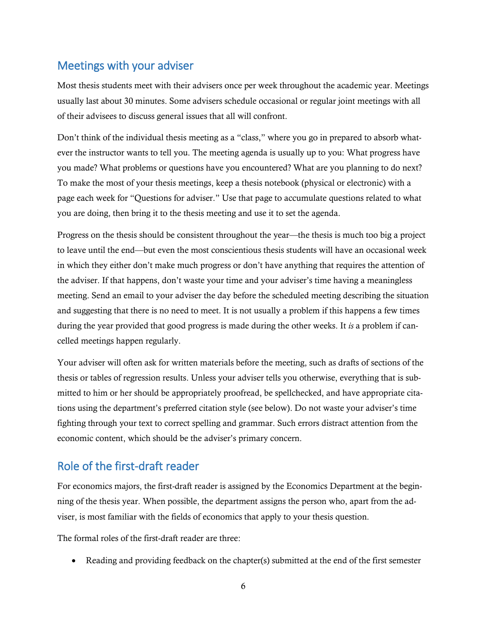# <span id="page-7-0"></span>Meetings with your adviser

Most thesis students meet with their advisers once per week throughout the academic year. Meetings usually last about 30 minutes. Some advisers schedule occasional or regular joint meetings with all of their advisees to discuss general issues that all will confront.

Don't think of the individual thesis meeting as a "class," where you go in prepared to absorb whatever the instructor wants to tell you. The meeting agenda is usually up to you: What progress have you made? What problems or questions have you encountered? What are you planning to do next? To make the most of your thesis meetings, keep a thesis notebook (physical or electronic) with a page each week for "Questions for adviser." Use that page to accumulate questions related to what you are doing, then bring it to the thesis meeting and use it to set the agenda.

Progress on the thesis should be consistent throughout the year—the thesis is much too big a project to leave until the end—but even the most conscientious thesis students will have an occasional week in which they either don't make much progress or don't have anything that requires the attention of the adviser. If that happens, don't waste your time and your adviser's time having a meaningless meeting. Send an email to your adviser the day before the scheduled meeting describing the situation and suggesting that there is no need to meet. It is not usually a problem if this happens a few times during the year provided that good progress is made during the other weeks. It *is* a problem if cancelled meetings happen regularly.

Your adviser will often ask for written materials before the meeting, such as drafts of sections of the thesis or tables of regression results. Unless your adviser tells you otherwise, everything that is submitted to him or her should be appropriately proofread, be spellchecked, and have appropriate citations using the department's preferred citation style (see below). Do not waste your adviser's time fighting through your text to correct spelling and grammar. Such errors distract attention from the economic content, which should be the adviser's primary concern.

# <span id="page-7-1"></span>Role of the first-draft reader

For economics majors, the first-draft reader is assigned by the Economics Department at the beginning of the thesis year. When possible, the department assigns the person who, apart from the adviser, is most familiar with the fields of economics that apply to your thesis question.

The formal roles of the first-draft reader are three:

Reading and providing feedback on the chapter(s) submitted at the end of the first semester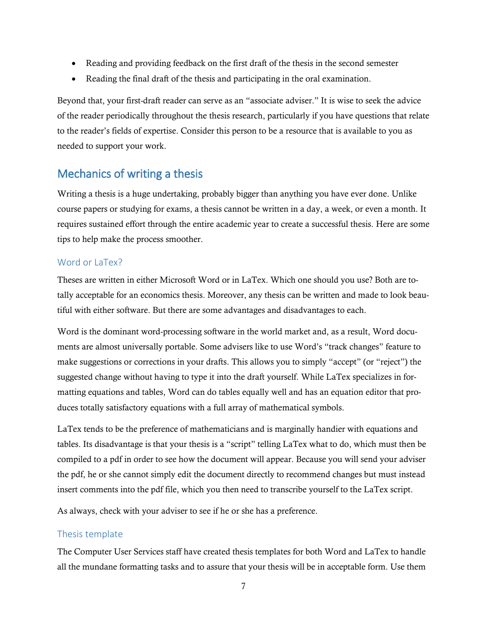- Reading and providing feedback on the first draft of the thesis in the second semester
- Reading the final draft of the thesis and participating in the oral examination.

Beyond that, your first-draft reader can serve as an "associate adviser." It is wise to seek the advice of the reader periodically throughout the thesis research, particularly if you have questions that relate to the reader's fields of expertise. Consider this person to be a resource that is available to you as needed to support your work.

# <span id="page-8-0"></span>Mechanics of writing a thesis

Writing a thesis is a huge undertaking, probably bigger than anything you have ever done. Unlike course papers or studying for exams, a thesis cannot be written in a day, a week, or even a month. It requires sustained effort through the entire academic year to create a successful thesis. Here are some tips to help make the process smoother.

### <span id="page-8-1"></span>Word or LaTex?

Theses are written in either Microsoft Word or in LaTex. Which one should you use? Both are totally acceptable for an economics thesis. Moreover, any thesis can be written and made to look beautiful with either software. But there are some advantages and disadvantages to each.

Word is the dominant word-processing software in the world market and, as a result, Word documents are almost universally portable. Some advisers like to use Word's "track changes" feature to make suggestions or corrections in your drafts. This allows you to simply "accept" (or "reject") the suggested change without having to type it into the draft yourself. While LaTex specializes in formatting equations and tables, Word can do tables equally well and has an equation editor that produces totally satisfactory equations with a full array of mathematical symbols.

LaTex tends to be the preference of mathematicians and is marginally handier with equations and tables. Its disadvantage is that your thesis is a "script" telling LaTex what to do, which must then be compiled to a pdf in order to see how the document will appear. Because you will send your adviser the pdf, he or she cannot simply edit the document directly to recommend changes but must instead insert comments into the pdf file, which you then need to transcribe yourself to the LaTex script.

As always, check with your adviser to see if he or she has a preference.

### <span id="page-8-2"></span>Thesis template

The Computer User Services staff have created thesis templates for both Word and LaTex to handle all the mundane formatting tasks and to assure that your thesis will be in acceptable form. Use them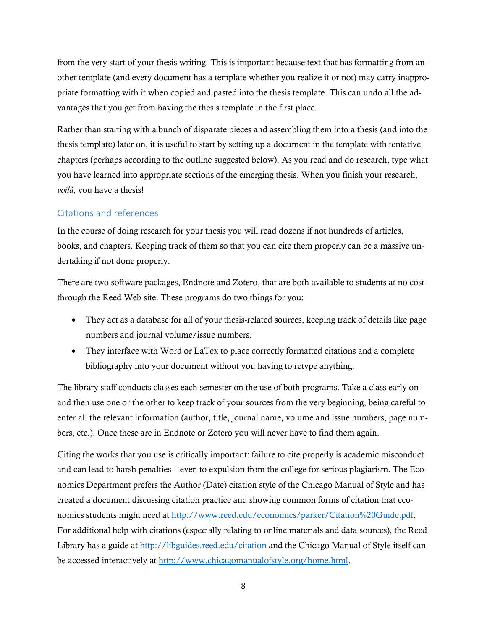from the very start of your thesis writing. This is important because text that has formatting from another template (and every document has a template whether you realize it or not) may carry inappropriate formatting with it when copied and pasted into the thesis template. This can undo all the advantages that you get from having the thesis template in the first place.

Rather than starting with a bunch of disparate pieces and assembling them into a thesis (and into the thesis template) later on, it is useful to start by setting up a document in the template with tentative chapters (perhaps according to the outline suggested below). As you read and do research, type what you have learned into appropriate sections of the emerging thesis. When you finish your research, *voilà*, you have a thesis!

### <span id="page-9-0"></span>Citations and references

In the course of doing research for your thesis you will read dozens if not hundreds of articles, books, and chapters. Keeping track of them so that you can cite them properly can be a massive undertaking if not done properly.

There are two software packages, Endnote and Zotero, that are both available to students at no cost through the Reed Web site. These programs do two things for you:

- They act as a database for all of your thesis-related sources, keeping track of details like page numbers and journal volume/issue numbers.
- They interface with Word or LaTex to place correctly formatted citations and a complete bibliography into your document without you having to retype anything.

The library staff conducts classes each semester on the use of both programs. Take a class early on and then use one or the other to keep track of your sources from the very beginning, being careful to enter all the relevant information (author, title, journal name, volume and issue numbers, page numbers, etc.). Once these are in Endnote or Zotero you will never have to find them again.

Citing the works that you use is critically important: failure to cite properly is academic misconduct and can lead to harsh penalties—even to expulsion from the college for serious plagiarism. The Economics Department prefers the Author (Date) citation style of the Chicago Manual of Style and has created a document discussing citation practice and showing common forms of citation that economics students might need at [http://www.reed.edu/economics/parker/Citation%20Guide.pdf.](http://www.reed.edu/economics/parker/Citation%20Guide.pdf) For additional help with citations (especially relating to online materials and data sources), the Reed Library has a guide at<http://libguides.reed.edu/citation> and the Chicago Manual of Style itself can be accessed interactively at [http://www.chicagomanualofstyle.org/home.html.](http://www.chicagomanualofstyle.org/home.html)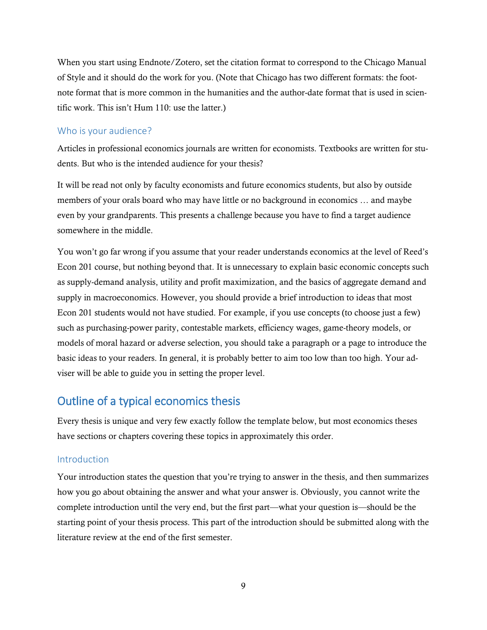When you start using Endnote/Zotero, set the citation format to correspond to the Chicago Manual of Style and it should do the work for you. (Note that Chicago has two different formats: the footnote format that is more common in the humanities and the author-date format that is used in scientific work. This isn't Hum 110: use the latter.)

#### <span id="page-10-0"></span>Who is your audience?

Articles in professional economics journals are written for economists. Textbooks are written for students. But who is the intended audience for your thesis?

It will be read not only by faculty economists and future economics students, but also by outside members of your orals board who may have little or no background in economics … and maybe even by your grandparents. This presents a challenge because you have to find a target audience somewhere in the middle.

You won't go far wrong if you assume that your reader understands economics at the level of Reed's Econ 201 course, but nothing beyond that. It is unnecessary to explain basic economic concepts such as supply-demand analysis, utility and profit maximization, and the basics of aggregate demand and supply in macroeconomics. However, you should provide a brief introduction to ideas that most Econ 201 students would not have studied. For example, if you use concepts (to choose just a few) such as purchasing-power parity, contestable markets, efficiency wages, game-theory models, or models of moral hazard or adverse selection, you should take a paragraph or a page to introduce the basic ideas to your readers. In general, it is probably better to aim too low than too high. Your adviser will be able to guide you in setting the proper level.

# <span id="page-10-1"></span>Outline of a typical economics thesis

Every thesis is unique and very few exactly follow the template below, but most economics theses have sections or chapters covering these topics in approximately this order.

#### <span id="page-10-2"></span>Introduction

Your introduction states the question that you're trying to answer in the thesis, and then summarizes how you go about obtaining the answer and what your answer is. Obviously, you cannot write the complete introduction until the very end, but the first part—what your question is—should be the starting point of your thesis process. This part of the introduction should be submitted along with the literature review at the end of the first semester.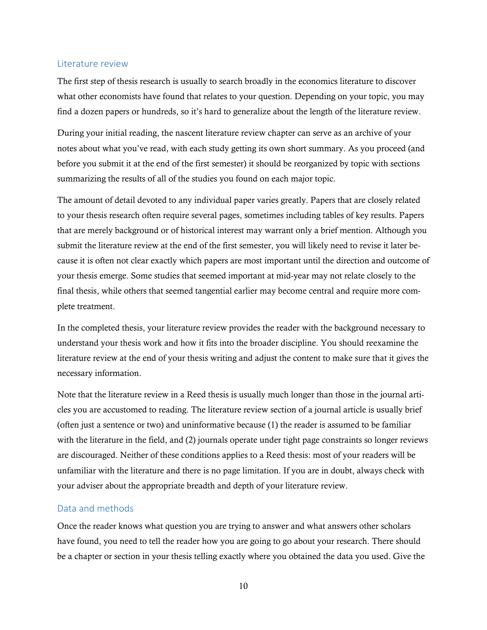#### <span id="page-11-0"></span>Literature review

The first step of thesis research is usually to search broadly in the economics literature to discover what other economists have found that relates to your question. Depending on your topic, you may find a dozen papers or hundreds, so it's hard to generalize about the length of the literature review.

During your initial reading, the nascent literature review chapter can serve as an archive of your notes about what you've read, with each study getting its own short summary. As you proceed (and before you submit it at the end of the first semester) it should be reorganized by topic with sections summarizing the results of all of the studies you found on each major topic.

The amount of detail devoted to any individual paper varies greatly. Papers that are closely related to your thesis research often require several pages, sometimes including tables of key results. Papers that are merely background or of historical interest may warrant only a brief mention. Although you submit the literature review at the end of the first semester, you will likely need to revise it later because it is often not clear exactly which papers are most important until the direction and outcome of your thesis emerge. Some studies that seemed important at mid-year may not relate closely to the final thesis, while others that seemed tangential earlier may become central and require more complete treatment.

In the completed thesis, your literature review provides the reader with the background necessary to understand your thesis work and how it fits into the broader discipline. You should reexamine the literature review at the end of your thesis writing and adjust the content to make sure that it gives the necessary information.

Note that the literature review in a Reed thesis is usually much longer than those in the journal articles you are accustomed to reading. The literature review section of a journal article is usually brief (often just a sentence or two) and uninformative because (1) the reader is assumed to be familiar with the literature in the field, and (2) journals operate under tight page constraints so longer reviews are discouraged. Neither of these conditions applies to a Reed thesis: most of your readers will be unfamiliar with the literature and there is no page limitation. If you are in doubt, always check with your adviser about the appropriate breadth and depth of your literature review.

#### <span id="page-11-1"></span>Data and methods

Once the reader knows what question you are trying to answer and what answers other scholars have found, you need to tell the reader how you are going to go about your research. There should be a chapter or section in your thesis telling exactly where you obtained the data you used. Give the

10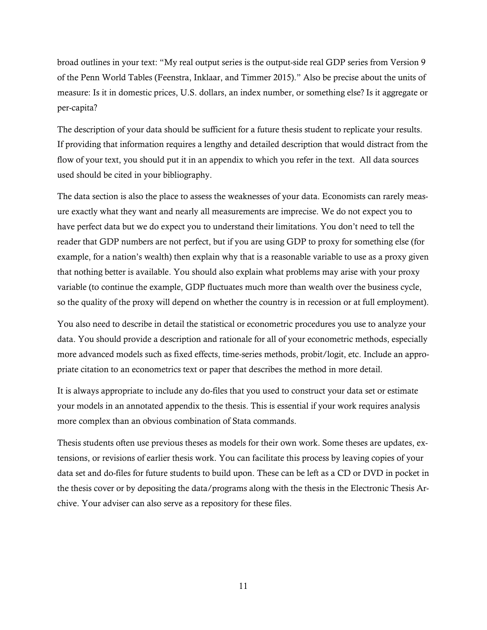broad outlines in your text: "My real output series is the output-side real GDP series from Version 9 of the Penn World Tables (Feenstra, Inklaar, and Timmer 2015)." Also be precise about the units of measure: Is it in domestic prices, U.S. dollars, an index number, or something else? Is it aggregate or per-capita?

The description of your data should be sufficient for a future thesis student to replicate your results. If providing that information requires a lengthy and detailed description that would distract from the flow of your text, you should put it in an appendix to which you refer in the text. All data sources used should be cited in your bibliography.

The data section is also the place to assess the weaknesses of your data. Economists can rarely measure exactly what they want and nearly all measurements are imprecise. We do not expect you to have perfect data but we do expect you to understand their limitations. You don't need to tell the reader that GDP numbers are not perfect, but if you are using GDP to proxy for something else (for example, for a nation's wealth) then explain why that is a reasonable variable to use as a proxy given that nothing better is available. You should also explain what problems may arise with your proxy variable (to continue the example, GDP fluctuates much more than wealth over the business cycle, so the quality of the proxy will depend on whether the country is in recession or at full employment).

You also need to describe in detail the statistical or econometric procedures you use to analyze your data. You should provide a description and rationale for all of your econometric methods, especially more advanced models such as fixed effects, time-series methods, probit/logit, etc. Include an appropriate citation to an econometrics text or paper that describes the method in more detail.

It is always appropriate to include any do-files that you used to construct your data set or estimate your models in an annotated appendix to the thesis. This is essential if your work requires analysis more complex than an obvious combination of Stata commands.

Thesis students often use previous theses as models for their own work. Some theses are updates, extensions, or revisions of earlier thesis work. You can facilitate this process by leaving copies of your data set and do-files for future students to build upon. These can be left as a CD or DVD in pocket in the thesis cover or by depositing the data/programs along with the thesis in the Electronic Thesis Archive. Your adviser can also serve as a repository for these files.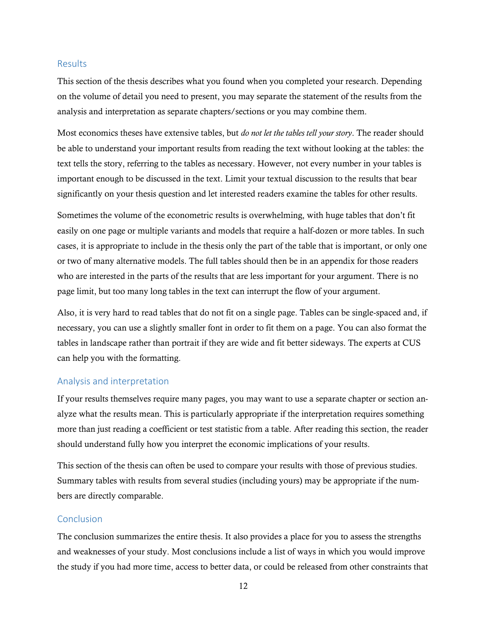#### <span id="page-13-0"></span>Results

This section of the thesis describes what you found when you completed your research. Depending on the volume of detail you need to present, you may separate the statement of the results from the analysis and interpretation as separate chapters/sections or you may combine them.

Most economics theses have extensive tables, but *do not let the tables tell your story*. The reader should be able to understand your important results from reading the text without looking at the tables: the text tells the story, referring to the tables as necessary. However, not every number in your tables is important enough to be discussed in the text. Limit your textual discussion to the results that bear significantly on your thesis question and let interested readers examine the tables for other results.

Sometimes the volume of the econometric results is overwhelming, with huge tables that don't fit easily on one page or multiple variants and models that require a half-dozen or more tables. In such cases, it is appropriate to include in the thesis only the part of the table that is important, or only one or two of many alternative models. The full tables should then be in an appendix for those readers who are interested in the parts of the results that are less important for your argument. There is no page limit, but too many long tables in the text can interrupt the flow of your argument.

Also, it is very hard to read tables that do not fit on a single page. Tables can be single-spaced and, if necessary, you can use a slightly smaller font in order to fit them on a page. You can also format the tables in landscape rather than portrait if they are wide and fit better sideways. The experts at CUS can help you with the formatting.

#### <span id="page-13-1"></span>Analysis and interpretation

If your results themselves require many pages, you may want to use a separate chapter or section analyze what the results mean. This is particularly appropriate if the interpretation requires something more than just reading a coefficient or test statistic from a table. After reading this section, the reader should understand fully how you interpret the economic implications of your results.

This section of the thesis can often be used to compare your results with those of previous studies. Summary tables with results from several studies (including yours) may be appropriate if the numbers are directly comparable.

#### <span id="page-13-2"></span>Conclusion

The conclusion summarizes the entire thesis. It also provides a place for you to assess the strengths and weaknesses of your study. Most conclusions include a list of ways in which you would improve the study if you had more time, access to better data, or could be released from other constraints that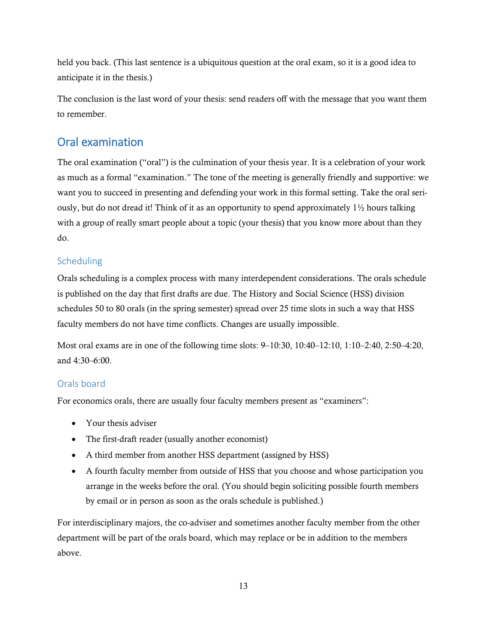held you back. (This last sentence is a ubiquitous question at the oral exam, so it is a good idea to anticipate it in the thesis.)

The conclusion is the last word of your thesis: send readers off with the message that you want them to remember.

# <span id="page-14-0"></span>Oral examination

The oral examination ("oral") is the culmination of your thesis year. It is a celebration of your work as much as a formal "examination." The tone of the meeting is generally friendly and supportive: we want you to succeed in presenting and defending your work in this formal setting. Take the oral seriously, but do not dread it! Think of it as an opportunity to spend approximately  $1\frac{1}{2}$  hours talking with a group of really smart people about a topic (your thesis) that you know more about than they do.

### <span id="page-14-1"></span>**Scheduling**

Orals scheduling is a complex process with many interdependent considerations. The orals schedule is published on the day that first drafts are due. The History and Social Science (HSS) division schedules 50 to 80 orals (in the spring semester) spread over 25 time slots in such a way that HSS faculty members do not have time conflicts. Changes are usually impossible.

Most oral exams are in one of the following time slots: 9–10:30, 10:40–12:10, 1:10–2:40, 2:50–4:20, and 4:30–6:00.

### <span id="page-14-2"></span>Orals board

For economics orals, there are usually four faculty members present as "examiners":

- Your thesis adviser
- The first-draft reader (usually another economist)
- A third member from another HSS department (assigned by HSS)
- A fourth faculty member from outside of HSS that you choose and whose participation you arrange in the weeks before the oral. (You should begin soliciting possible fourth members by email or in person as soon as the orals schedule is published.)

For interdisciplinary majors, the co-adviser and sometimes another faculty member from the other department will be part of the orals board, which may replace or be in addition to the members above.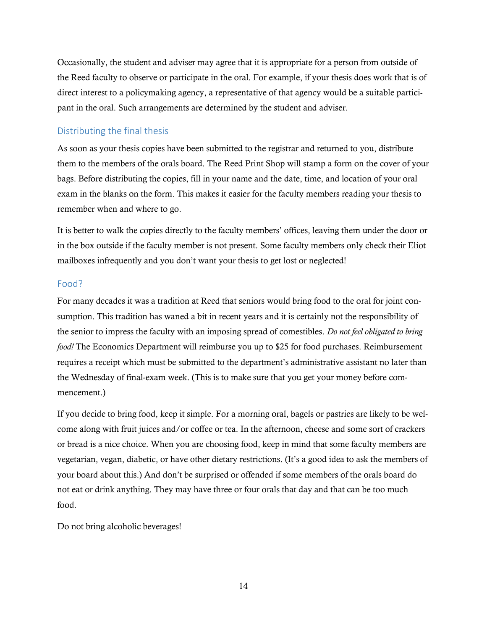Occasionally, the student and adviser may agree that it is appropriate for a person from outside of the Reed faculty to observe or participate in the oral. For example, if your thesis does work that is of direct interest to a policymaking agency, a representative of that agency would be a suitable participant in the oral. Such arrangements are determined by the student and adviser.

#### <span id="page-15-0"></span>Distributing the final thesis

As soon as your thesis copies have been submitted to the registrar and returned to you, distribute them to the members of the orals board. The Reed Print Shop will stamp a form on the cover of your bags. Before distributing the copies, fill in your name and the date, time, and location of your oral exam in the blanks on the form. This makes it easier for the faculty members reading your thesis to remember when and where to go.

It is better to walk the copies directly to the faculty members' offices, leaving them under the door or in the box outside if the faculty member is not present. Some faculty members only check their Eliot mailboxes infrequently and you don't want your thesis to get lost or neglected!

#### <span id="page-15-1"></span>Food?

For many decades it was a tradition at Reed that seniors would bring food to the oral for joint consumption. This tradition has waned a bit in recent years and it is certainly not the responsibility of the senior to impress the faculty with an imposing spread of comestibles. *Do not feel obligated to bring food!* The Economics Department will reimburse you up to \$25 for food purchases. Reimbursement requires a receipt which must be submitted to the department's administrative assistant no later than the Wednesday of final-exam week. (This is to make sure that you get your money before commencement.)

If you decide to bring food, keep it simple. For a morning oral, bagels or pastries are likely to be welcome along with fruit juices and/or coffee or tea. In the afternoon, cheese and some sort of crackers or bread is a nice choice. When you are choosing food, keep in mind that some faculty members are vegetarian, vegan, diabetic, or have other dietary restrictions. (It's a good idea to ask the members of your board about this.) And don't be surprised or offended if some members of the orals board do not eat or drink anything. They may have three or four orals that day and that can be too much food.

Do not bring alcoholic beverages!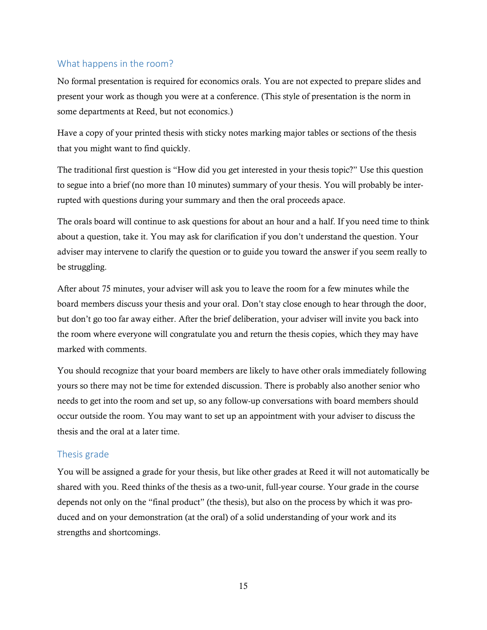### <span id="page-16-0"></span>What happens in the room?

No formal presentation is required for economics orals. You are not expected to prepare slides and present your work as though you were at a conference. (This style of presentation is the norm in some departments at Reed, but not economics.)

Have a copy of your printed thesis with sticky notes marking major tables or sections of the thesis that you might want to find quickly.

The traditional first question is "How did you get interested in your thesis topic?" Use this question to segue into a brief (no more than 10 minutes) summary of your thesis. You will probably be interrupted with questions during your summary and then the oral proceeds apace.

The orals board will continue to ask questions for about an hour and a half. If you need time to think about a question, take it. You may ask for clarification if you don't understand the question. Your adviser may intervene to clarify the question or to guide you toward the answer if you seem really to be struggling.

After about 75 minutes, your adviser will ask you to leave the room for a few minutes while the board members discuss your thesis and your oral. Don't stay close enough to hear through the door, but don't go too far away either. After the brief deliberation, your adviser will invite you back into the room where everyone will congratulate you and return the thesis copies, which they may have marked with comments.

You should recognize that your board members are likely to have other orals immediately following yours so there may not be time for extended discussion. There is probably also another senior who needs to get into the room and set up, so any follow-up conversations with board members should occur outside the room. You may want to set up an appointment with your adviser to discuss the thesis and the oral at a later time.

### <span id="page-16-1"></span>Thesis grade

You will be assigned a grade for your thesis, but like other grades at Reed it will not automatically be shared with you. Reed thinks of the thesis as a two-unit, full-year course. Your grade in the course depends not only on the "final product" (the thesis), but also on the process by which it was produced and on your demonstration (at the oral) of a solid understanding of your work and its strengths and shortcomings.

15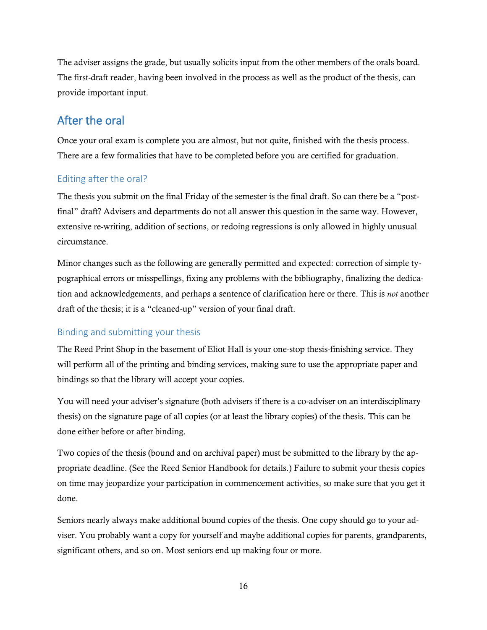The adviser assigns the grade, but usually solicits input from the other members of the orals board. The first-draft reader, having been involved in the process as well as the product of the thesis, can provide important input.

# <span id="page-17-0"></span>After the oral

Once your oral exam is complete you are almost, but not quite, finished with the thesis process. There are a few formalities that have to be completed before you are certified for graduation.

### <span id="page-17-1"></span>Editing after the oral?

The thesis you submit on the final Friday of the semester is the final draft. So can there be a "postfinal" draft? Advisers and departments do not all answer this question in the same way. However, extensive re-writing, addition of sections, or redoing regressions is only allowed in highly unusual circumstance.

Minor changes such as the following are generally permitted and expected: correction of simple typographical errors or misspellings, fixing any problems with the bibliography, finalizing the dedication and acknowledgements, and perhaps a sentence of clarification here or there. This is *not* another draft of the thesis; it is a "cleaned-up" version of your final draft.

### <span id="page-17-2"></span>Binding and submitting your thesis

The Reed Print Shop in the basement of Eliot Hall is your one-stop thesis-finishing service. They will perform all of the printing and binding services, making sure to use the appropriate paper and bindings so that the library will accept your copies.

You will need your adviser's signature (both advisers if there is a co-adviser on an interdisciplinary thesis) on the signature page of all copies (or at least the library copies) of the thesis. This can be done either before or after binding.

Two copies of the thesis (bound and on archival paper) must be submitted to the library by the appropriate deadline. (See the Reed Senior Handbook for details.) Failure to submit your thesis copies on time may jeopardize your participation in commencement activities, so make sure that you get it done.

Seniors nearly always make additional bound copies of the thesis. One copy should go to your adviser. You probably want a copy for yourself and maybe additional copies for parents, grandparents, significant others, and so on. Most seniors end up making four or more.